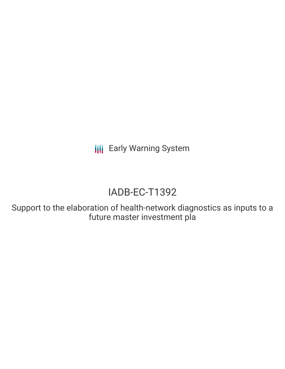**III** Early Warning System

# IADB-EC-T1392

Support to the elaboration of health-network diagnostics as inputs to a future master investment pla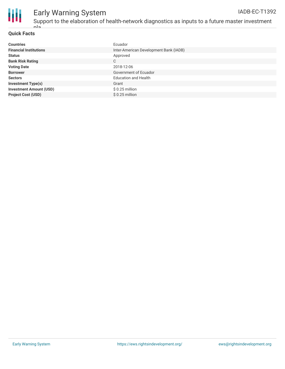

#### **Quick Facts**

.<br>حام

| <b>Countries</b>               | Ecuador                                |
|--------------------------------|----------------------------------------|
| <b>Financial Institutions</b>  | Inter-American Development Bank (IADB) |
| <b>Status</b>                  | Approved                               |
| <b>Bank Risk Rating</b>        | $\mathsf{C}$                           |
| <b>Voting Date</b>             | 2018-12-06                             |
| <b>Borrower</b>                | Government of Ecuador                  |
| <b>Sectors</b>                 | <b>Education and Health</b>            |
| <b>Investment Type(s)</b>      | Grant                                  |
| <b>Investment Amount (USD)</b> | $$0.25$ million                        |
| <b>Project Cost (USD)</b>      | $$0.25$ million                        |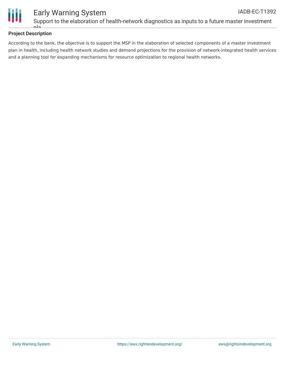

#### **Project Description**

pla

According to the bank, the objective is to support the MSP in the elaboration of selected components of a master investment plan in health, including health network studies and demand projections for the provision of network-integrated health services and a planning tool for expanding mechanisms for resource optimization to regional health networks.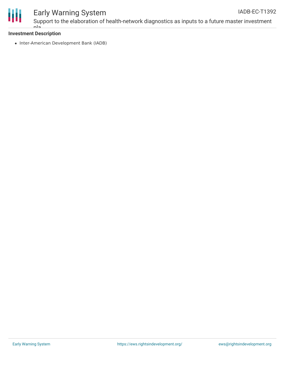

### Early Warning System Support to the elaboration of health-network diagnostics as inputs to a future master investment

#### **Investment Description** pla

• Inter-American Development Bank (IADB)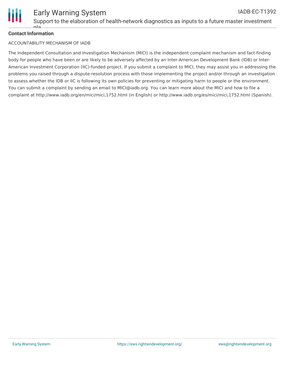

#### **Contact Information**

pla

#### ACCOUNTABILITY MECHANISM OF IADB

The Independent Consultation and Investigation Mechanism (MICI) is the independent complaint mechanism and fact-finding body for people who have been or are likely to be adversely affected by an Inter-American Development Bank (IDB) or Inter-American Investment Corporation (IIC)-funded project. If you submit a complaint to MICI, they may assist you in addressing the problems you raised through a dispute-resolution process with those implementing the project and/or through an investigation to assess whether the IDB or IIC is following its own policies for preventing or mitigating harm to people or the environment. You can submit a complaint by sending an email to MICI@iadb.org. You can learn more about the MICI and how to file a complaint at http://www.iadb.org/en/mici/mici,1752.html (in English) or http://www.iadb.org/es/mici/mici,1752.html (Spanish).